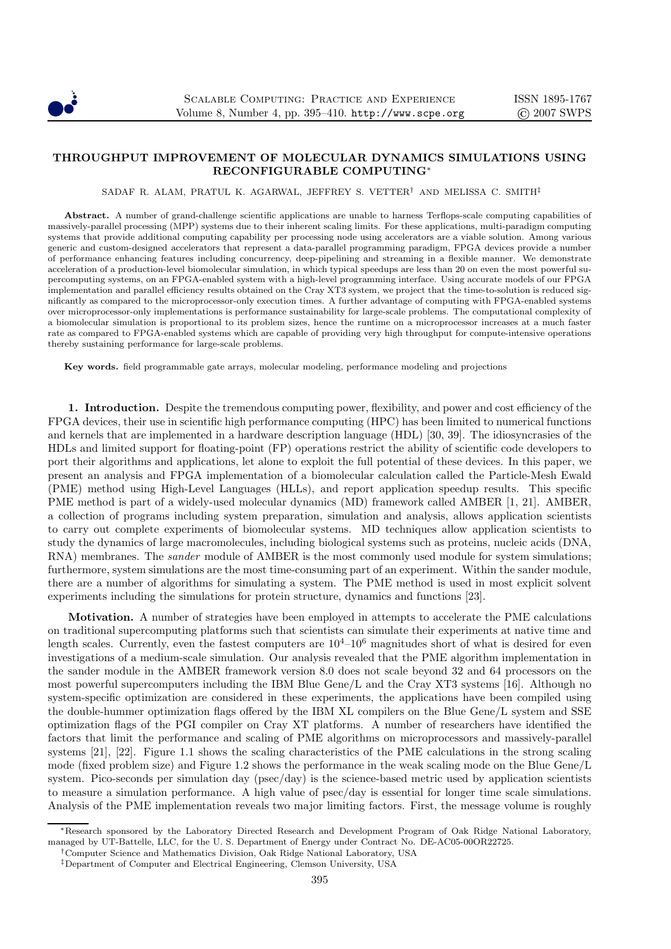

## THROUGHPUT IMPROVEMENT OF MOLECULAR DYNAMICS SIMULATIONS USING RECONFIGURABLE COMPUTING<sup>∗</sup>

SADAF R. ALAM, PRATUL K. AGARWAL, JEFFREY S. VETTER† AND MELISSA C. SMITH‡

Abstract. A number of grand-challenge scientific applications are unable to harness Terflops-scale computing capabilities of massively-parallel processing (MPP) systems due to their inherent scaling limits. For these applications, multi-paradigm computing systems that provide additional computing capability per processing node using accelerators are a viable solution. Among various generic and custom-designed accelerators that represent a data-parallel programming paradigm, FPGA devices provide a number of performance enhancing features including concurrency, deep-pipelining and streaming in a flexible manner. We demonstrate acceleration of a production-level biomolecular simulation, in which typical speedups are less than 20 on even the most powerful supercomputing systems, on an FPGA-enabled system with a high-level programming interface. Using accurate models of our FPGA implementation and parallel efficiency results obtained on the Cray XT3 system, we project that the time-to-solution is reduced significantly as compared to the microprocessor-only execution times. A further advantage of computing with FPGA-enabled systems over microprocessor-only implementations is performance sustainability for large-scale problems. The computational complexity of a biomolecular simulation is proportional to its problem sizes, hence the runtime on a microprocessor increases at a much faster rate as compared to FPGA-enabled systems which are capable of providing very high throughput for compute-intensive operations thereby sustaining performance for large-scale problems.

Key words. field programmable gate arrays, molecular modeling, performance modeling and projections

1. Introduction. Despite the tremendous computing power, flexibility, and power and cost efficiency of the FPGA devices, their use in scientific high performance computing (HPC) has been limited to numerical functions and kernels that are implemented in a hardware description language (HDL) [30, 39]. The idiosyncrasies of the HDLs and limited support for floating-point (FP) operations restrict the ability of scientific code developers to port their algorithms and applications, let alone to exploit the full potential of these devices. In this paper, we present an analysis and FPGA implementation of a biomolecular calculation called the Particle-Mesh Ewald (PME) method using High-Level Languages (HLLs), and report application speedup results. This specific PME method is part of a widely-used molecular dynamics (MD) framework called AMBER [1, 21]. AMBER, a collection of programs including system preparation, simulation and analysis, allows application scientists to carry out complete experiments of biomolecular systems. MD techniques allow application scientists to study the dynamics of large macromolecules, including biological systems such as proteins, nucleic acids (DNA, RNA) membranes. The *sander* module of AMBER is the most commonly used module for system simulations; furthermore, system simulations are the most time-consuming part of an experiment. Within the sander module, there are a number of algorithms for simulating a system. The PME method is used in most explicit solvent experiments including the simulations for protein structure, dynamics and functions [23].

Motivation. A number of strategies have been employed in attempts to accelerate the PME calculations on traditional supercomputing platforms such that scientists can simulate their experiments at native time and length scales. Currently, even the fastest computers are  $10^4-10^6$  magnitudes short of what is desired for even investigations of a medium-scale simulation. Our analysis revealed that the PME algorithm implementation in the sander module in the AMBER framework version 8.0 does not scale beyond 32 and 64 processors on the most powerful supercomputers including the IBM Blue Gene/L and the Cray XT3 systems [16]. Although no system-specific optimization are considered in these experiments, the applications have been compiled using the double-hummer optimization flags offered by the IBM XL compilers on the Blue Gene/L system and SSE optimization flags of the PGI compiler on Cray XT platforms. A number of researchers have identified the factors that limit the performance and scaling of PME algorithms on microprocessors and massively-parallel systems [21], [22]. Figure 1.1 shows the scaling characteristics of the PME calculations in the strong scaling mode (fixed problem size) and Figure 1.2 shows the performance in the weak scaling mode on the Blue Gene/L system. Pico-seconds per simulation day (psec/day) is the science-based metric used by application scientists to measure a simulation performance. A high value of psec/day is essential for longer time scale simulations. Analysis of the PME implementation reveals two major limiting factors. First, the message volume is roughly

†Computer Science and Mathematics Division, Oak Ridge National Laboratory, USA

<sup>∗</sup>Research sponsored by the Laboratory Directed Research and Development Program of Oak Ridge National Laboratory, managed by UT-Battelle, LLC, for the U. S. Department of Energy under Contract No. DE-AC05-00OR22725.

<sup>‡</sup>Department of Computer and Electrical Engineering, Clemson University, USA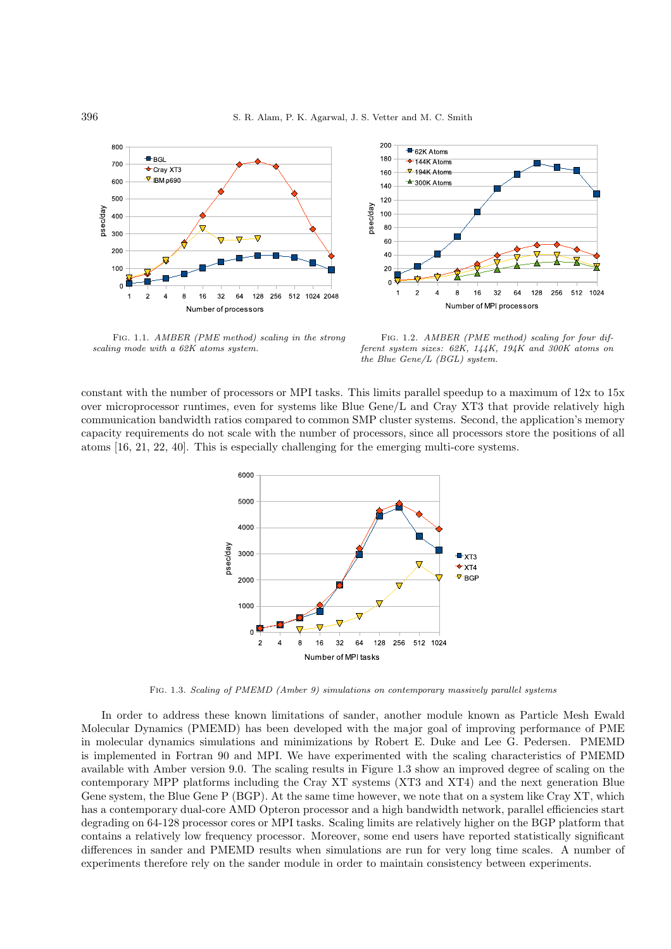



Fig. 1.1. AMBER (PME method) scaling in the strong scaling mode with a 62K atoms system.

Fig. 1.2. AMBER (PME method) scaling for four different system sizes: 62K, 144K, 194K and 300K atoms on the Blue Gene/L (BGL) system.

constant with the number of processors or MPI tasks. This limits parallel speedup to a maximum of 12x to 15x over microprocessor runtimes, even for systems like Blue Gene/L and Cray XT3 that provide relatively high communication bandwidth ratios compared to common SMP cluster systems. Second, the application's memory capacity requirements do not scale with the number of processors, since all processors store the positions of all atoms [16, 21, 22, 40]. This is especially challenging for the emerging multi-core systems.



Fig. 1.3. Scaling of PMEMD (Amber 9) simulations on contemporary massively parallel systems

In order to address these known limitations of sander, another module known as Particle Mesh Ewald Molecular Dynamics (PMEMD) has been developed with the major goal of improving performance of PME in molecular dynamics simulations and minimizations by Robert E. Duke and Lee G. Pedersen. PMEMD is implemented in Fortran 90 and MPI. We have experimented with the scaling characteristics of PMEMD available with Amber version 9.0. The scaling results in Figure 1.3 show an improved degree of scaling on the contemporary MPP platforms including the Cray XT systems (XT3 and XT4) and the next generation Blue Gene system, the Blue Gene P (BGP). At the same time however, we note that on a system like Cray XT, which has a contemporary dual-core AMD Opteron processor and a high bandwidth network, parallel efficiencies start degrading on 64-128 processor cores or MPI tasks. Scaling limits are relatively higher on the BGP platform that contains a relatively low frequency processor. Moreover, some end users have reported statistically significant differences in sander and PMEMD results when simulations are run for very long time scales. A number of experiments therefore rely on the sander module in order to maintain consistency between experiments.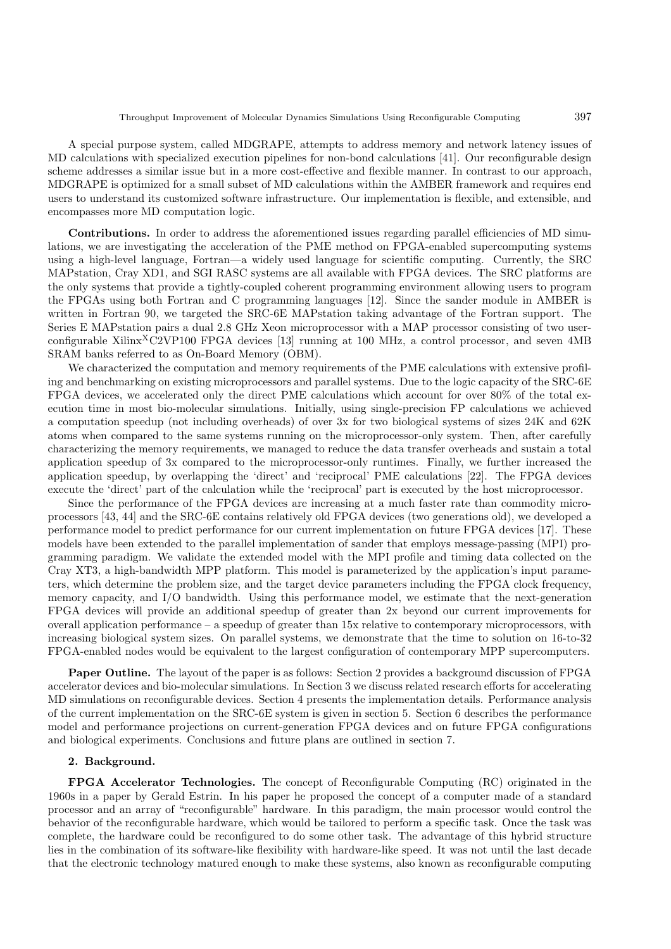A special purpose system, called MDGRAPE, attempts to address memory and network latency issues of MD calculations with specialized execution pipelines for non-bond calculations [41]. Our reconfigurable design scheme addresses a similar issue but in a more cost-effective and flexible manner. In contrast to our approach, MDGRAPE is optimized for a small subset of MD calculations within the AMBER framework and requires end users to understand its customized software infrastructure. Our implementation is flexible, and extensible, and encompasses more MD computation logic.

Contributions. In order to address the aforementioned issues regarding parallel efficiencies of MD simulations, we are investigating the acceleration of the PME method on FPGA-enabled supercomputing systems using a high-level language, Fortran—a widely used language for scientific computing. Currently, the SRC MAPstation, Cray XD1, and SGI RASC systems are all available with FPGA devices. The SRC platforms are the only systems that provide a tightly-coupled coherent programming environment allowing users to program the FPGAs using both Fortran and C programming languages [12]. Since the sander module in AMBER is written in Fortran 90, we targeted the SRC-6E MAPstation taking advantage of the Fortran support. The Series E MAPstation pairs a dual 2.8 GHz Xeon microprocessor with a MAP processor consisting of two userconfigurable Xilinx<sup>X</sup>C2VP100 FPGA devices [13] running at 100 MHz, a control processor, and seven 4MB SRAM banks referred to as On-Board Memory (OBM).

We characterized the computation and memory requirements of the PME calculations with extensive profiling and benchmarking on existing microprocessors and parallel systems. Due to the logic capacity of the SRC-6E FPGA devices, we accelerated only the direct PME calculations which account for over 80% of the total execution time in most bio-molecular simulations. Initially, using single-precision FP calculations we achieved a computation speedup (not including overheads) of over 3x for two biological systems of sizes 24K and 62K atoms when compared to the same systems running on the microprocessor-only system. Then, after carefully characterizing the memory requirements, we managed to reduce the data transfer overheads and sustain a total application speedup of 3x compared to the microprocessor-only runtimes. Finally, we further increased the application speedup, by overlapping the 'direct' and 'reciprocal' PME calculations [22]. The FPGA devices execute the 'direct' part of the calculation while the 'reciprocal' part is executed by the host microprocessor.

Since the performance of the FPGA devices are increasing at a much faster rate than commodity microprocessors [43, 44] and the SRC-6E contains relatively old FPGA devices (two generations old), we developed a performance model to predict performance for our current implementation on future FPGA devices [17]. These models have been extended to the parallel implementation of sander that employs message-passing (MPI) programming paradigm. We validate the extended model with the MPI profile and timing data collected on the Cray XT3, a high-bandwidth MPP platform. This model is parameterized by the application's input parameters, which determine the problem size, and the target device parameters including the FPGA clock frequency, memory capacity, and I/O bandwidth. Using this performance model, we estimate that the next-generation FPGA devices will provide an additional speedup of greater than 2x beyond our current improvements for overall application performance – a speedup of greater than 15x relative to contemporary microprocessors, with increasing biological system sizes. On parallel systems, we demonstrate that the time to solution on 16-to-32 FPGA-enabled nodes would be equivalent to the largest configuration of contemporary MPP supercomputers.

Paper Outline. The layout of the paper is as follows: Section 2 provides a background discussion of FPGA accelerator devices and bio-molecular simulations. In Section 3 we discuss related research efforts for accelerating MD simulations on reconfigurable devices. Section 4 presents the implementation details. Performance analysis of the current implementation on the SRC-6E system is given in section 5. Section 6 describes the performance model and performance projections on current-generation FPGA devices and on future FPGA configurations and biological experiments. Conclusions and future plans are outlined in section 7.

#### 2. Background.

FPGA Accelerator Technologies. The concept of Reconfigurable Computing (RC) originated in the 1960s in a paper by Gerald Estrin. In his paper he proposed the concept of a computer made of a standard processor and an array of "reconfigurable" hardware. In this paradigm, the main processor would control the behavior of the reconfigurable hardware, which would be tailored to perform a specific task. Once the task was complete, the hardware could be reconfigured to do some other task. The advantage of this hybrid structure lies in the combination of its software-like flexibility with hardware-like speed. It was not until the last decade that the electronic technology matured enough to make these systems, also known as reconfigurable computing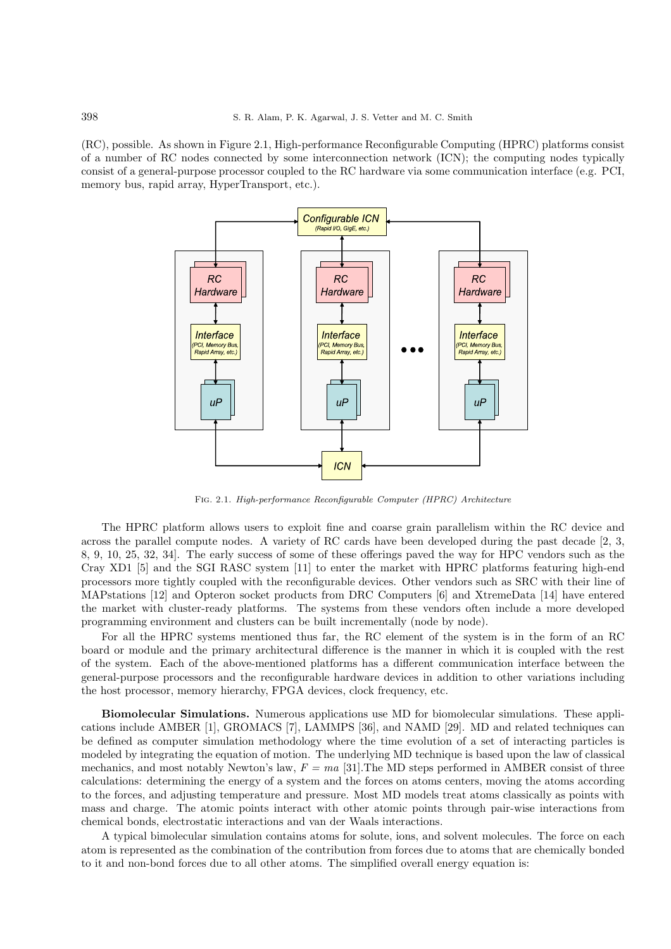(RC), possible. As shown in Figure 2.1, High-performance Reconfigurable Computing (HPRC) platforms consist of a number of RC nodes connected by some interconnection network (ICN); the computing nodes typically consist of a general-purpose processor coupled to the RC hardware via some communication interface (e.g. PCI, memory bus, rapid array, HyperTransport, etc.).



Fig. 2.1. High-performance Reconfigurable Computer (HPRC) Architecture

The HPRC platform allows users to exploit fine and coarse grain parallelism within the RC device and across the parallel compute nodes. A variety of RC cards have been developed during the past decade [2, 3, 8, 9, 10, 25, 32, 34]. The early success of some of these offerings paved the way for HPC vendors such as the Cray XD1 [5] and the SGI RASC system [11] to enter the market with HPRC platforms featuring high-end processors more tightly coupled with the reconfigurable devices. Other vendors such as SRC with their line of MAPstations [12] and Opteron socket products from DRC Computers [6] and XtremeData [14] have entered the market with cluster-ready platforms. The systems from these vendors often include a more developed programming environment and clusters can be built incrementally (node by node).

For all the HPRC systems mentioned thus far, the RC element of the system is in the form of an RC board or module and the primary architectural difference is the manner in which it is coupled with the rest of the system. Each of the above-mentioned platforms has a different communication interface between the general-purpose processors and the reconfigurable hardware devices in addition to other variations including the host processor, memory hierarchy, FPGA devices, clock frequency, etc.

Biomolecular Simulations. Numerous applications use MD for biomolecular simulations. These applications include AMBER [1], GROMACS [7], LAMMPS [36], and NAMD [29]. MD and related techniques can be defined as computer simulation methodology where the time evolution of a set of interacting particles is modeled by integrating the equation of motion. The underlying MD technique is based upon the law of classical mechanics, and most notably Newton's law,  $F = ma$  [31]. The MD steps performed in AMBER consist of three calculations: determining the energy of a system and the forces on atoms centers, moving the atoms according to the forces, and adjusting temperature and pressure. Most MD models treat atoms classically as points with mass and charge. The atomic points interact with other atomic points through pair-wise interactions from chemical bonds, electrostatic interactions and van der Waals interactions.

A typical bimolecular simulation contains atoms for solute, ions, and solvent molecules. The force on each atom is represented as the combination of the contribution from forces due to atoms that are chemically bonded to it and non-bond forces due to all other atoms. The simplified overall energy equation is: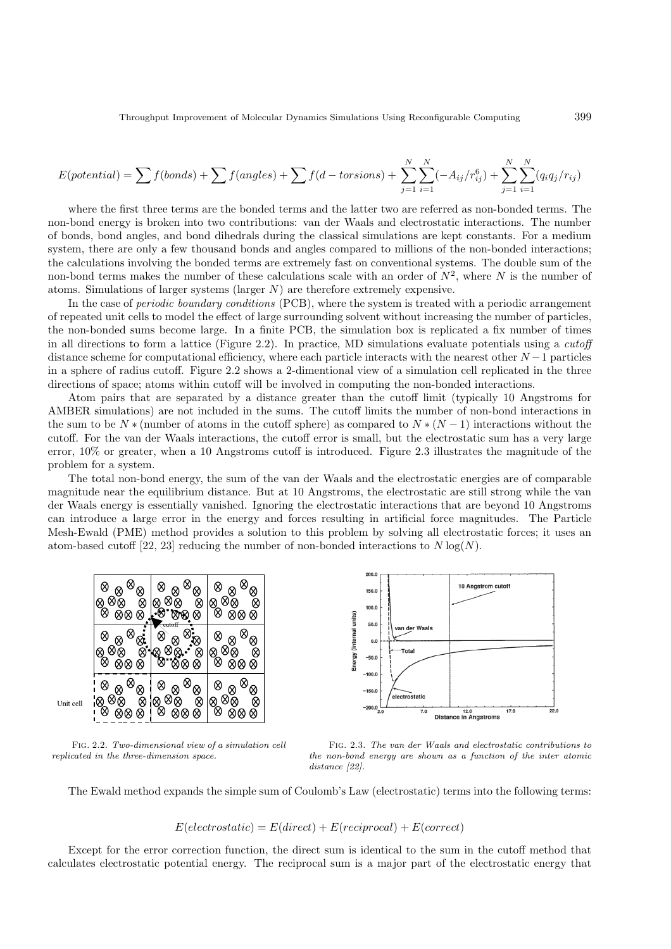$$
E(potential) = \sum f(bonds) + \sum f(angles) + \sum f(d - torsions) + \sum_{j=1}^{N} \sum_{i=1}^{N} (-A_{ij}/r_{ij}^{6}) + \sum_{j=1}^{N} \sum_{i=1}^{N} (q_{i}q_{j}/r_{ij})
$$

where the first three terms are the bonded terms and the latter two are referred as non-bonded terms. The non-bond energy is broken into two contributions: van der Waals and electrostatic interactions. The number of bonds, bond angles, and bond dihedrals during the classical simulations are kept constants. For a medium system, there are only a few thousand bonds and angles compared to millions of the non-bonded interactions; the calculations involving the bonded terms are extremely fast on conventional systems. The double sum of the non-bond terms makes the number of these calculations scale with an order of  $N^2$ , where N is the number of atoms. Simulations of larger systems (larger  $N$ ) are therefore extremely expensive.

In the case of *periodic boundary conditions* (PCB), where the system is treated with a periodic arrangement of repeated unit cells to model the effect of large surrounding solvent without increasing the number of particles, the non-bonded sums become large. In a finite PCB, the simulation box is replicated a fix number of times in all directions to form a lattice (Figure 2.2). In practice, MD simulations evaluate potentials using a *cutoff* distance scheme for computational efficiency, where each particle interacts with the nearest other  $N-1$  particles in a sphere of radius cutoff. Figure 2.2 shows a 2-dimentional view of a simulation cell replicated in the three directions of space; atoms within cutoff will be involved in computing the non-bonded interactions.

Atom pairs that are separated by a distance greater than the cutoff limit (typically 10 Angstroms for AMBER simulations) are not included in the sums. The cutoff limits the number of non-bond interactions in the sum to be  $N *$  (number of atoms in the cutoff sphere) as compared to  $N * (N - 1)$  interactions without the cutoff. For the van der Waals interactions, the cutoff error is small, but the electrostatic sum has a very large error, 10% or greater, when a 10 Angstroms cutoff is introduced. Figure 2.3 illustrates the magnitude of the problem for a system.

The total non-bond energy, the sum of the van der Waals and the electrostatic energies are of comparable magnitude near the equilibrium distance. But at 10 Angstroms, the electrostatic are still strong while the van der Waals energy is essentially vanished. Ignoring the electrostatic interactions that are beyond 10 Angstroms can introduce a large error in the energy and forces resulting in artificial force magnitudes. The Particle Mesh-Ewald (PME) method provides a solution to this problem by solving all electrostatic forces; it uses an atom-based cutoff [22, 23] reducing the number of non-bonded interactions to  $N \log(N)$ .



Fig. 2.2. Two-dimensional view of a simulation cell replicated in the three-dimension space.



Fig. 2.3. The van der Waals and electrostatic contributions to the non-bond energy are shown as a function of the inter atomic distance [22].

The Ewald method expands the simple sum of Coulomb's Law (electrostatic) terms into the following terms:

$$
E(electrostatic) = E(direct) + E(reciprocal) + E(correct)
$$

Except for the error correction function, the direct sum is identical to the sum in the cutoff method that calculates electrostatic potential energy. The reciprocal sum is a major part of the electrostatic energy that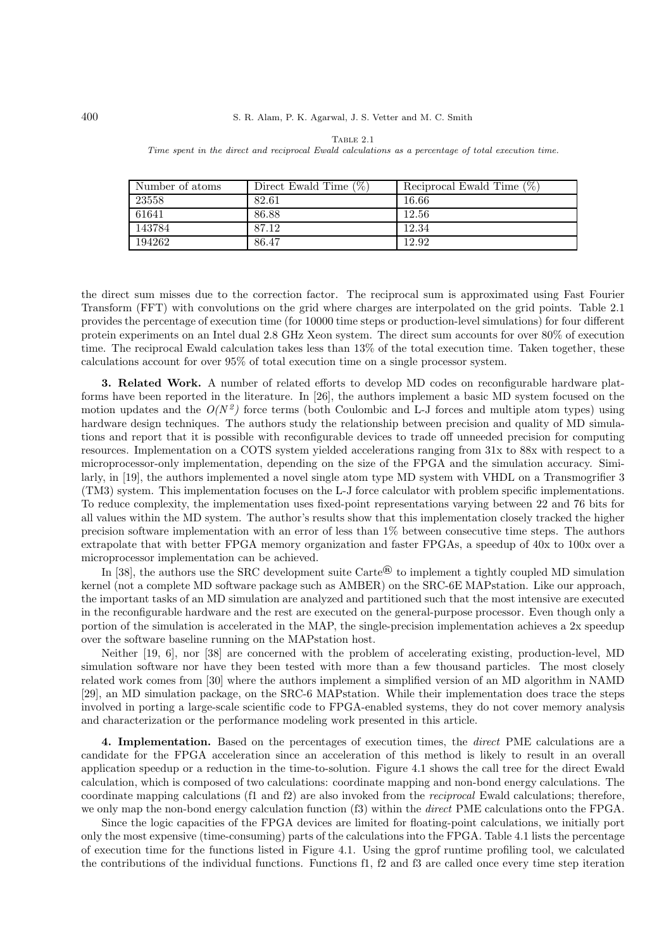| Number of atoms | Direct Ewald Time $(\%)$ | Reciprocal Ewald Time $(\%)$ |
|-----------------|--------------------------|------------------------------|
| 23558           | 82.61                    | 16.66                        |
| 61641           | 86.88                    | 12.56                        |
| 143784          | 87.12                    | 12.34                        |
| 194262          | 86.47                    | 12.92                        |

TABLE 2.1 Time spent in the direct and reciprocal Ewald calculations as a percentage of total execution time.

the direct sum misses due to the correction factor. The reciprocal sum is approximated using Fast Fourier Transform (FFT) with convolutions on the grid where charges are interpolated on the grid points. Table 2.1 provides the percentage of execution time (for 10000 time steps or production-level simulations) for four different protein experiments on an Intel dual 2.8 GHz Xeon system. The direct sum accounts for over 80% of execution time. The reciprocal Ewald calculation takes less than 13% of the total execution time. Taken together, these calculations account for over 95% of total execution time on a single processor system.

3. Related Work. A number of related efforts to develop MD codes on reconfigurable hardware platforms have been reported in the literature. In [26], the authors implement a basic MD system focused on the motion updates and the  $O(N^2)$  force terms (both Coulombic and L-J forces and multiple atom types) using hardware design techniques. The authors study the relationship between precision and quality of MD simulations and report that it is possible with reconfigurable devices to trade off unneeded precision for computing resources. Implementation on a COTS system yielded accelerations ranging from 31x to 88x with respect to a microprocessor-only implementation, depending on the size of the FPGA and the simulation accuracy. Similarly, in [19], the authors implemented a novel single atom type MD system with VHDL on a Transmogrifier 3 (TM3) system. This implementation focuses on the L-J force calculator with problem specific implementations. To reduce complexity, the implementation uses fixed-point representations varying between 22 and 76 bits for all values within the MD system. The author's results show that this implementation closely tracked the higher precision software implementation with an error of less than 1% between consecutive time steps. The authors extrapolate that with better FPGA memory organization and faster FPGAs, a speedup of 40x to 100x over a microprocessor implementation can be achieved.

In [38], the authors use the SRC development suite Carte<sup>®</sup> to implement a tightly coupled MD simulation kernel (not a complete MD software package such as AMBER) on the SRC-6E MAPstation. Like our approach, the important tasks of an MD simulation are analyzed and partitioned such that the most intensive are executed in the reconfigurable hardware and the rest are executed on the general-purpose processor. Even though only a portion of the simulation is accelerated in the MAP, the single-precision implementation achieves a 2x speedup over the software baseline running on the MAPstation host.

Neither [19, 6], nor [38] are concerned with the problem of accelerating existing, production-level, MD simulation software nor have they been tested with more than a few thousand particles. The most closely related work comes from [30] where the authors implement a simplified version of an MD algorithm in NAMD [29], an MD simulation package, on the SRC-6 MAPstation. While their implementation does trace the steps involved in porting a large-scale scientific code to FPGA-enabled systems, they do not cover memory analysis and characterization or the performance modeling work presented in this article.

4. Implementation. Based on the percentages of execution times, the *direct* PME calculations are a candidate for the FPGA acceleration since an acceleration of this method is likely to result in an overall application speedup or a reduction in the time-to-solution. Figure 4.1 shows the call tree for the direct Ewald calculation, which is composed of two calculations: coordinate mapping and non-bond energy calculations. The coordinate mapping calculations (f1 and f2) are also invoked from the reciprocal Ewald calculations; therefore, we only map the non-bond energy calculation function (f3) within the direct PME calculations onto the FPGA.

Since the logic capacities of the FPGA devices are limited for floating-point calculations, we initially port only the most expensive (time-consuming) parts of the calculations into the FPGA. Table 4.1 lists the percentage of execution time for the functions listed in Figure 4.1. Using the gprof runtime profiling tool, we calculated the contributions of the individual functions. Functions f1, f2 and f3 are called once every time step iteration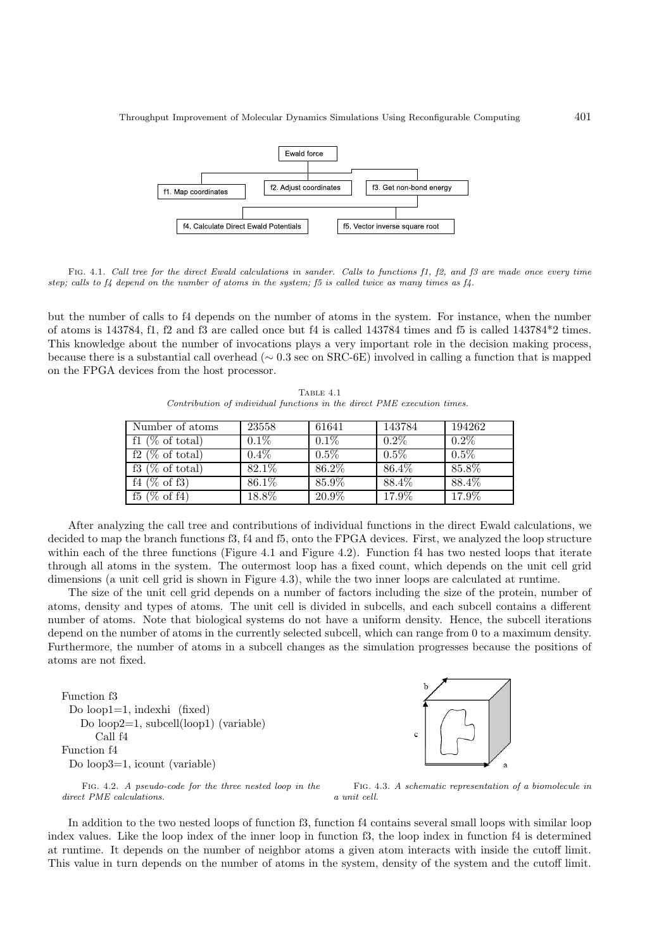

FIG. 4.1. Call tree for the direct Ewald calculations in sander. Calls to functions f1, f2, and f3 are made once every time step; calls to  $f_4$  depend on the number of atoms in the system;  $f_5$  is called twice as many times as  $f_4$ .

but the number of calls to f4 depends on the number of atoms in the system. For instance, when the number of atoms is 143784, f1, f2 and f3 are called once but f4 is called 143784 times and f5 is called 143784\*2 times. This knowledge about the number of invocations plays a very important role in the decision making process, because there is a substantial call overhead (∼ 0.3 sec on SRC-6E) involved in calling a function that is mapped on the FPGA devices from the host processor.

TABLE 4.1 Contribution of individual functions in the direct PME execution times.

| Number of atoms              | 23558   | 61641               | 143784  | 194262  |
|------------------------------|---------|---------------------|---------|---------|
| $\overline{f1}$ (% of total) | $0.1\%$ | $0.1\%$             | $0.2\%$ | $0.2\%$ |
| $\overline{f2}$ (% of total) | $0.4\%$ | $0.5\%$             | $0.5\%$ | 0.5%    |
| $f3 \ (\% \ of \ total)$     | 82.1%   | 86.2%               | 86.4%   | 85.8%   |
| $f4 \ (\% \ of \ f3)$        | 86.1\%  | 85.9%               | 88.4%   | 88.4%   |
| $(\% \text{ of } f4)$<br>f5  | 18.8%   | $20.\overline{9\%}$ | 17.9%   | 17.9%   |

After analyzing the call tree and contributions of individual functions in the direct Ewald calculations, we decided to map the branch functions f3, f4 and f5, onto the FPGA devices. First, we analyzed the loop structure within each of the three functions (Figure 4.1 and Figure 4.2). Function f4 has two nested loops that iterate through all atoms in the system. The outermost loop has a fixed count, which depends on the unit cell grid dimensions (a unit cell grid is shown in Figure 4.3), while the two inner loops are calculated at runtime.

The size of the unit cell grid depends on a number of factors including the size of the protein, number of atoms, density and types of atoms. The unit cell is divided in subcells, and each subcell contains a different number of atoms. Note that biological systems do not have a uniform density. Hence, the subcell iterations depend on the number of atoms in the currently selected subcell, which can range from 0 to a maximum density. Furthermore, the number of atoms in a subcell changes as the simulation progresses because the positions of atoms are not fixed.

Function f3 Do loop1=1, indexhi (fixed) Do loop2=1, subcell(loop1) (variable) Call f4 Function f4 Do loop3=1, icount (variable)



Fig. 4.2. A pseudo-code for the three nested loop in the direct PME calculations.

Fig. 4.3. A schematic representation of a biomolecule in a unit cell.

In addition to the two nested loops of function f3, function f4 contains several small loops with similar loop index values. Like the loop index of the inner loop in function f3, the loop index in function f4 is determined at runtime. It depends on the number of neighbor atoms a given atom interacts with inside the cutoff limit. This value in turn depends on the number of atoms in the system, density of the system and the cutoff limit.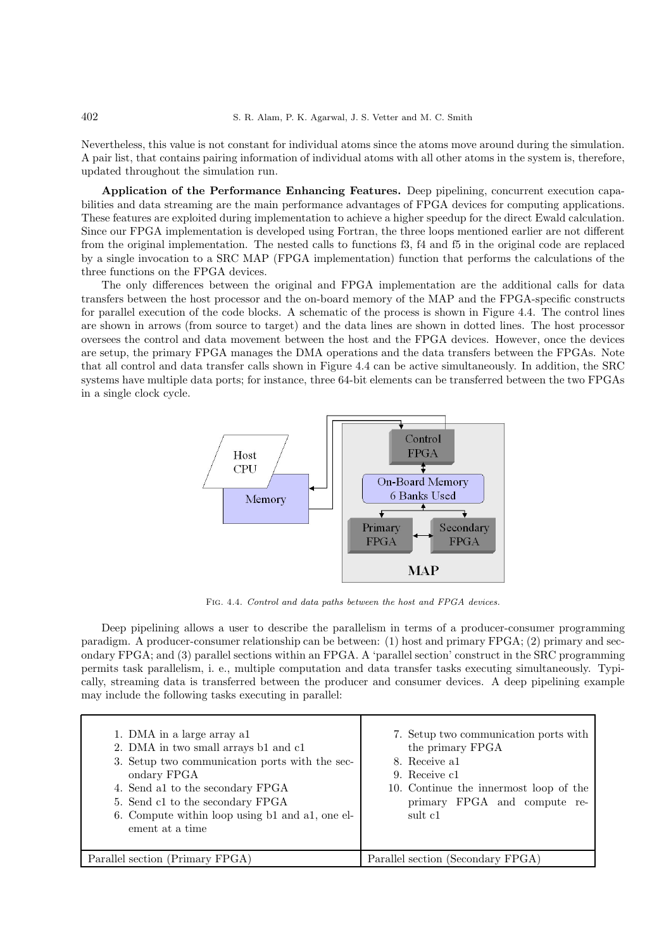Nevertheless, this value is not constant for individual atoms since the atoms move around during the simulation. A pair list, that contains pairing information of individual atoms with all other atoms in the system is, therefore, updated throughout the simulation run.

Application of the Performance Enhancing Features. Deep pipelining, concurrent execution capabilities and data streaming are the main performance advantages of FPGA devices for computing applications. These features are exploited during implementation to achieve a higher speedup for the direct Ewald calculation. Since our FPGA implementation is developed using Fortran, the three loops mentioned earlier are not different from the original implementation. The nested calls to functions f3, f4 and f5 in the original code are replaced by a single invocation to a SRC MAP (FPGA implementation) function that performs the calculations of the three functions on the FPGA devices.

The only differences between the original and FPGA implementation are the additional calls for data transfers between the host processor and the on-board memory of the MAP and the FPGA-specific constructs for parallel execution of the code blocks. A schematic of the process is shown in Figure 4.4. The control lines are shown in arrows (from source to target) and the data lines are shown in dotted lines. The host processor oversees the control and data movement between the host and the FPGA devices. However, once the devices are setup, the primary FPGA manages the DMA operations and the data transfers between the FPGAs. Note that all control and data transfer calls shown in Figure 4.4 can be active simultaneously. In addition, the SRC systems have multiple data ports; for instance, three 64-bit elements can be transferred between the two FPGAs in a single clock cycle.



Fig. 4.4. Control and data paths between the host and FPGA devices.

Deep pipelining allows a user to describe the parallelism in terms of a producer-consumer programming paradigm. A producer-consumer relationship can be between: (1) host and primary FPGA; (2) primary and secondary FPGA; and (3) parallel sections within an FPGA. A 'parallel section' construct in the SRC programming permits task parallelism, i. e., multiple computation and data transfer tasks executing simultaneously. Typically, streaming data is transferred between the producer and consumer devices. A deep pipelining example may include the following tasks executing in parallel:

| 1. DMA in a large array a1<br>2. DMA in two small arrays b1 and c1<br>3. Setup two communication ports with the sec-<br>ondary FPGA<br>4. Send al to the secondary FPGA<br>5. Send c1 to the secondary FPGA<br>6. Compute within loop using b1 and a1, one el-<br>ement at a time | 7. Setup two communication ports with<br>the primary FPGA<br>8. Receive al.<br>9. Receive c1<br>10. Continue the innermost loop of the<br>primary FPGA and compute re-<br>sult c1 |
|-----------------------------------------------------------------------------------------------------------------------------------------------------------------------------------------------------------------------------------------------------------------------------------|-----------------------------------------------------------------------------------------------------------------------------------------------------------------------------------|
| Parallel section (Primary FPGA)                                                                                                                                                                                                                                                   | Parallel section (Secondary FPGA)                                                                                                                                                 |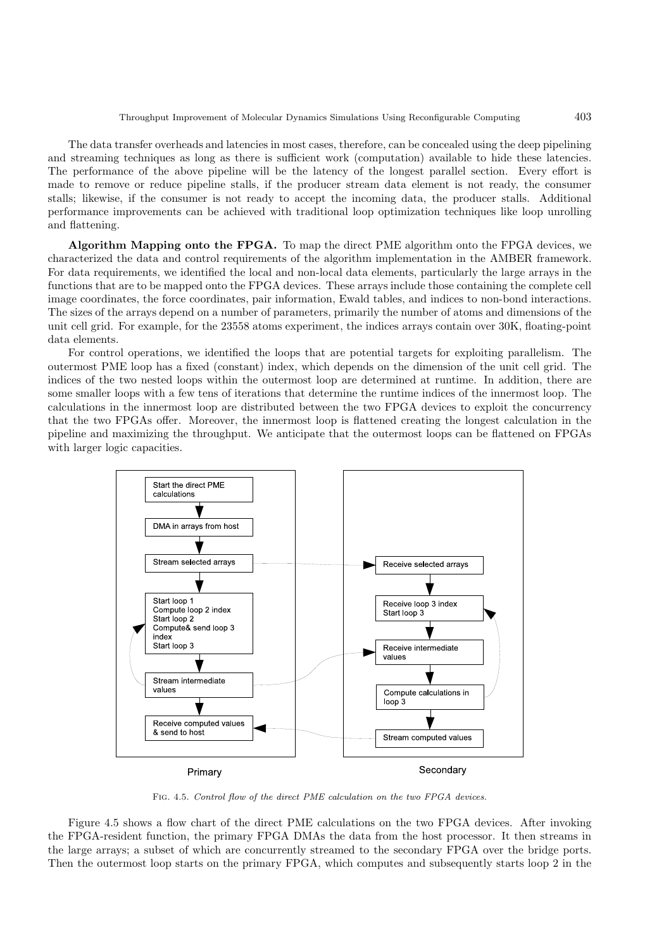The data transfer overheads and latencies in most cases, therefore, can be concealed using the deep pipelining and streaming techniques as long as there is sufficient work (computation) available to hide these latencies. The performance of the above pipeline will be the latency of the longest parallel section. Every effort is made to remove or reduce pipeline stalls, if the producer stream data element is not ready, the consumer stalls; likewise, if the consumer is not ready to accept the incoming data, the producer stalls. Additional performance improvements can be achieved with traditional loop optimization techniques like loop unrolling and flattening.

Algorithm Mapping onto the FPGA. To map the direct PME algorithm onto the FPGA devices, we characterized the data and control requirements of the algorithm implementation in the AMBER framework. For data requirements, we identified the local and non-local data elements, particularly the large arrays in the functions that are to be mapped onto the FPGA devices. These arrays include those containing the complete cell image coordinates, the force coordinates, pair information, Ewald tables, and indices to non-bond interactions. The sizes of the arrays depend on a number of parameters, primarily the number of atoms and dimensions of the unit cell grid. For example, for the 23558 atoms experiment, the indices arrays contain over 30K, floating-point data elements.

For control operations, we identified the loops that are potential targets for exploiting parallelism. The outermost PME loop has a fixed (constant) index, which depends on the dimension of the unit cell grid. The indices of the two nested loops within the outermost loop are determined at runtime. In addition, there are some smaller loops with a few tens of iterations that determine the runtime indices of the innermost loop. The calculations in the innermost loop are distributed between the two FPGA devices to exploit the concurrency that the two FPGAs offer. Moreover, the innermost loop is flattened creating the longest calculation in the pipeline and maximizing the throughput. We anticipate that the outermost loops can be flattened on FPGAs with larger logic capacities.



Fig. 4.5. Control flow of the direct PME calculation on the two FPGA devices.

Figure 4.5 shows a flow chart of the direct PME calculations on the two FPGA devices. After invoking the FPGA-resident function, the primary FPGA DMAs the data from the host processor. It then streams in the large arrays; a subset of which are concurrently streamed to the secondary FPGA over the bridge ports. Then the outermost loop starts on the primary FPGA, which computes and subsequently starts loop 2 in the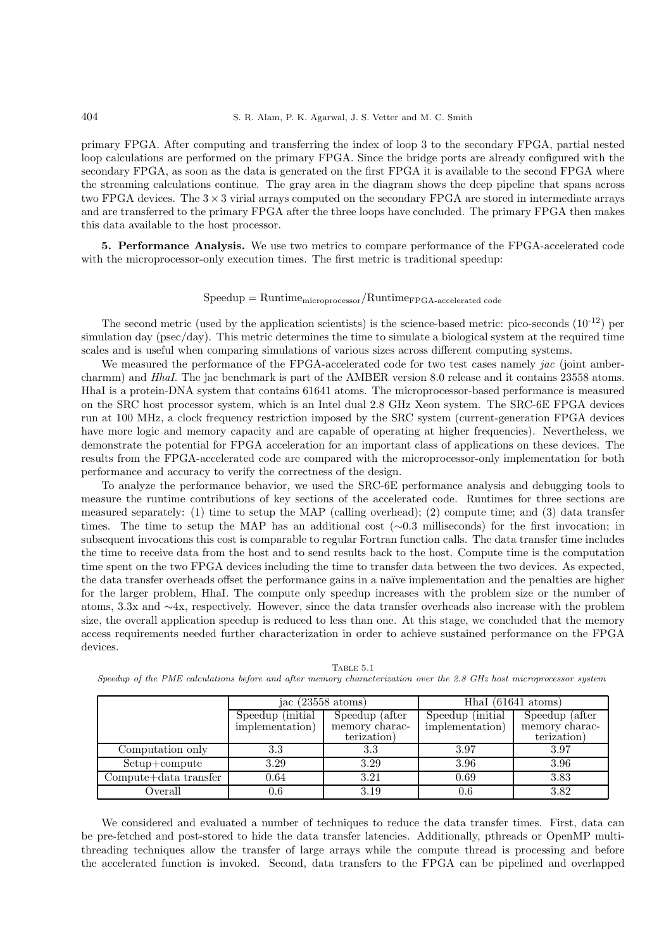primary FPGA. After computing and transferring the index of loop 3 to the secondary FPGA, partial nested loop calculations are performed on the primary FPGA. Since the bridge ports are already configured with the secondary FPGA, as soon as the data is generated on the first FPGA it is available to the second FPGA where the streaming calculations continue. The gray area in the diagram shows the deep pipeline that spans across two FPGA devices. The  $3 \times 3$  virial arrays computed on the secondary FPGA are stored in intermediate arrays and are transferred to the primary FPGA after the three loops have concluded. The primary FPGA then makes this data available to the host processor.

5. Performance Analysis. We use two metrics to compare performance of the FPGA-accelerated code with the microprocessor-only execution times. The first metric is traditional speedup:

### $Speedup = Runtime_{microprocessor}/Runtime_{FPGA-accelerated code}$

The second metric (used by the application scientists) is the science-based metric: pico-seconds  $(10^{-12})$  per simulation day (psec/day). This metric determines the time to simulate a biological system at the required time scales and is useful when comparing simulations of various sizes across different computing systems.

We measured the performance of the FPGA-accelerated code for two test cases namely *jac* (joint ambercharmm) and *HhaI*. The jac benchmark is part of the AMBER version 8.0 release and it contains 23558 atoms. HhaI is a protein-DNA system that contains 61641 atoms. The microprocessor-based performance is measured on the SRC host processor system, which is an Intel dual 2.8 GHz Xeon system. The SRC-6E FPGA devices run at 100 MHz, a clock frequency restriction imposed by the SRC system (current-generation FPGA devices have more logic and memory capacity and are capable of operating at higher frequencies). Nevertheless, we demonstrate the potential for FPGA acceleration for an important class of applications on these devices. The results from the FPGA-accelerated code are compared with the microprocessor-only implementation for both performance and accuracy to verify the correctness of the design.

To analyze the performance behavior, we used the SRC-6E performance analysis and debugging tools to measure the runtime contributions of key sections of the accelerated code. Runtimes for three sections are measured separately: (1) time to setup the MAP (calling overhead); (2) compute time; and (3) data transfer times. The time to setup the MAP has an additional cost (∼0.3 milliseconds) for the first invocation; in subsequent invocations this cost is comparable to regular Fortran function calls. The data transfer time includes the time to receive data from the host and to send results back to the host. Compute time is the computation time spent on the two FPGA devices including the time to transfer data between the two devices. As expected, the data transfer overheads offset the performance gains in a naïve implementation and the penalties are higher for the larger problem, HhaI. The compute only speedup increases with the problem size or the number of atoms, 3.3x and ∼4x, respectively. However, since the data transfer overheads also increase with the problem size, the overall application speedup is reduced to less than one. At this stage, we concluded that the memory access requirements needed further characterization in order to achieve sustained performance on the FPGA devices.

|                       | jac $(23558 \text{ atoms})$          |                                                 | Hhal $(61641 \text{ atoms})$         |                                                 |
|-----------------------|--------------------------------------|-------------------------------------------------|--------------------------------------|-------------------------------------------------|
|                       | Speedup (initial)<br>implementation) | Speedup (after<br>memory charac-<br>terization) | Speedup (initial)<br>implementation) | Speedup (after<br>memory charac-<br>terization) |
|                       |                                      |                                                 |                                      |                                                 |
| Computation only      | 3.3                                  | 3.3                                             | 3.97                                 | 3.97                                            |
| Setup+compute         | 3.29                                 | 3.29                                            | 3.96                                 | 3.96                                            |
| Compute+data transfer | 0.64                                 | 3.21                                            | 0.69                                 | 3.83                                            |
| Overall               | $0.6\,$                              | 3.19                                            | 0.6                                  | 3.82                                            |

Table 5.1 Speedup of the PME calculations before and after memory characterization over the 2.8 GHz host microprocessor system

We considered and evaluated a number of techniques to reduce the data transfer times. First, data can be pre-fetched and post-stored to hide the data transfer latencies. Additionally, pthreads or OpenMP multithreading techniques allow the transfer of large arrays while the compute thread is processing and before the accelerated function is invoked. Second, data transfers to the FPGA can be pipelined and overlapped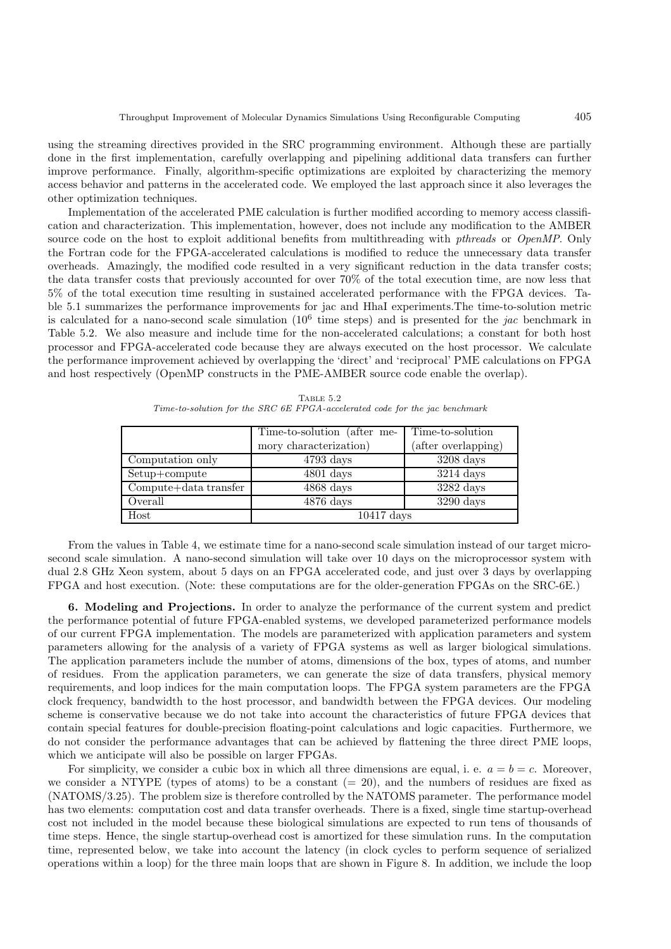using the streaming directives provided in the SRC programming environment. Although these are partially done in the first implementation, carefully overlapping and pipelining additional data transfers can further improve performance. Finally, algorithm-specific optimizations are exploited by characterizing the memory access behavior and patterns in the accelerated code. We employed the last approach since it also leverages the other optimization techniques.

Implementation of the accelerated PME calculation is further modified according to memory access classification and characterization. This implementation, however, does not include any modification to the AMBER source code on the host to exploit additional benefits from multithreading with *pthreads* or *OpenMP*. Only the Fortran code for the FPGA-accelerated calculations is modified to reduce the unnecessary data transfer overheads. Amazingly, the modified code resulted in a very significant reduction in the data transfer costs; the data transfer costs that previously accounted for over 70% of the total execution time, are now less that 5% of the total execution time resulting in sustained accelerated performance with the FPGA devices. Table 5.1 summarizes the performance improvements for jac and HhaI experiments.The time-to-solution metric is calculated for a nano-second scale simulation  $(10^6)$  time steps) and is presented for the *jac* benchmark in Table 5.2. We also measure and include time for the non-accelerated calculations; a constant for both host processor and FPGA-accelerated code because they are always executed on the host processor. We calculate the performance improvement achieved by overlapping the 'direct' and 'reciprocal' PME calculations on FPGA and host respectively (OpenMP constructs in the PME-AMBER source code enable the overlap).

|                           | Time-to-solution (after me- | Time-to-solution    |  |
|---------------------------|-----------------------------|---------------------|--|
|                           | mory characterization)      | (after overlapping) |  |
| Computation only          | $4793 \text{ days}$         | $3208$ days         |  |
| Setup+compute             | $4801$ days                 | $3214 \text{ days}$ |  |
| $Compute + data transfer$ | $4868$ days                 | $3282$ days         |  |
| Overall                   | $4876$ days                 | $3290 \text{ days}$ |  |
| Host                      | $10417 \text{ days}$        |                     |  |

Table 5.2 Time-to-solution for the SRC 6E FPGA-accelerated code for the jac benchmark

From the values in Table 4, we estimate time for a nano-second scale simulation instead of our target microsecond scale simulation. A nano-second simulation will take over 10 days on the microprocessor system with dual 2.8 GHz Xeon system, about 5 days on an FPGA accelerated code, and just over 3 days by overlapping FPGA and host execution. (Note: these computations are for the older-generation FPGAs on the SRC-6E.)

6. Modeling and Projections. In order to analyze the performance of the current system and predict the performance potential of future FPGA-enabled systems, we developed parameterized performance models of our current FPGA implementation. The models are parameterized with application parameters and system parameters allowing for the analysis of a variety of FPGA systems as well as larger biological simulations. The application parameters include the number of atoms, dimensions of the box, types of atoms, and number of residues. From the application parameters, we can generate the size of data transfers, physical memory requirements, and loop indices for the main computation loops. The FPGA system parameters are the FPGA clock frequency, bandwidth to the host processor, and bandwidth between the FPGA devices. Our modeling scheme is conservative because we do not take into account the characteristics of future FPGA devices that contain special features for double-precision floating-point calculations and logic capacities. Furthermore, we do not consider the performance advantages that can be achieved by flattening the three direct PME loops, which we anticipate will also be possible on larger FPGAs.

For simplicity, we consider a cubic box in which all three dimensions are equal, i. e.  $a = b = c$ . Moreover, we consider a NTYPE (types of atoms) to be a constant  $(= 20)$ , and the numbers of residues are fixed as (NATOMS/3.25). The problem size is therefore controlled by the NATOMS parameter. The performance model has two elements: computation cost and data transfer overheads. There is a fixed, single time startup-overhead cost not included in the model because these biological simulations are expected to run tens of thousands of time steps. Hence, the single startup-overhead cost is amortized for these simulation runs. In the computation time, represented below, we take into account the latency (in clock cycles to perform sequence of serialized operations within a loop) for the three main loops that are shown in Figure 8. In addition, we include the loop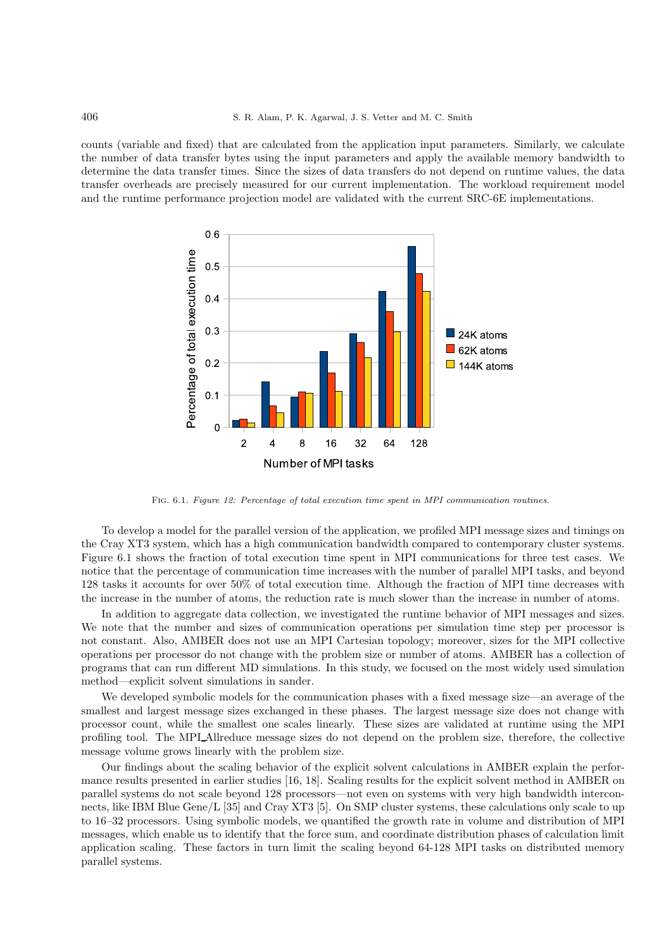counts (variable and fixed) that are calculated from the application input parameters. Similarly, we calculate the number of data transfer bytes using the input parameters and apply the available memory bandwidth to determine the data transfer times. Since the sizes of data transfers do not depend on runtime values, the data transfer overheads are precisely measured for our current implementation. The workload requirement model and the runtime performance projection model are validated with the current SRC-6E implementations.



FIG. 6.1. Figure 12: Percentage of total execution time spent in MPI communication routines.

To develop a model for the parallel version of the application, we profiled MPI message sizes and timings on the Cray XT3 system, which has a high communication bandwidth compared to contemporary cluster systems. Figure 6.1 shows the fraction of total execution time spent in MPI communications for three test cases. We notice that the percentage of communication time increases with the number of parallel MPI tasks, and beyond 128 tasks it accounts for over 50% of total execution time. Although the fraction of MPI time decreases with the increase in the number of atoms, the reduction rate is much slower than the increase in number of atoms.

In addition to aggregate data collection, we investigated the runtime behavior of MPI messages and sizes. We note that the number and sizes of communication operations per simulation time step per processor is not constant. Also, AMBER does not use an MPI Cartesian topology; moreover, sizes for the MPI collective operations per processor do not change with the problem size or number of atoms. AMBER has a collection of programs that can run different MD simulations. In this study, we focused on the most widely used simulation method—explicit solvent simulations in sander.

We developed symbolic models for the communication phases with a fixed message size—an average of the smallest and largest message sizes exchanged in these phases. The largest message size does not change with processor count, while the smallest one scales linearly. These sizes are validated at runtime using the MPI profiling tool. The MPI Allreduce message sizes do not depend on the problem size, therefore, the collective message volume grows linearly with the problem size.

Our findings about the scaling behavior of the explicit solvent calculations in AMBER explain the performance results presented in earlier studies [16, 18]. Scaling results for the explicit solvent method in AMBER on parallel systems do not scale beyond 128 processors—not even on systems with very high bandwidth interconnects, like IBM Blue Gene/L [35] and Cray XT3 [5]. On SMP cluster systems, these calculations only scale to up to 16–32 processors. Using symbolic models, we quantified the growth rate in volume and distribution of MPI messages, which enable us to identify that the force sum, and coordinate distribution phases of calculation limit application scaling. These factors in turn limit the scaling beyond 64-128 MPI tasks on distributed memory parallel systems.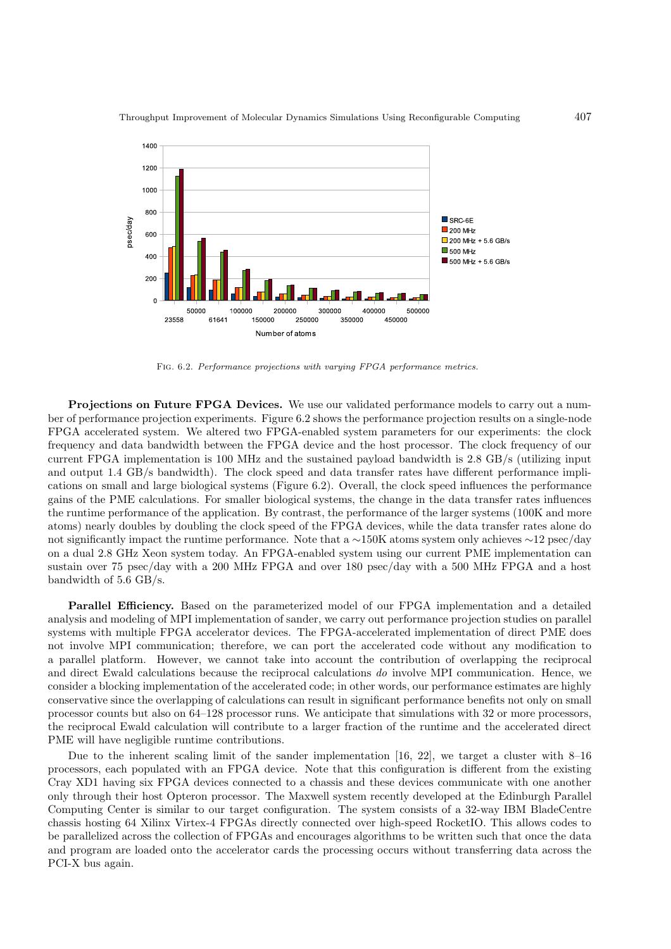

Fig. 6.2. Performance projections with varying FPGA performance metrics.

Projections on Future FPGA Devices. We use our validated performance models to carry out a number of performance projection experiments. Figure 6.2 shows the performance projection results on a single-node FPGA accelerated system. We altered two FPGA-enabled system parameters for our experiments: the clock frequency and data bandwidth between the FPGA device and the host processor. The clock frequency of our current FPGA implementation is 100 MHz and the sustained payload bandwidth is 2.8 GB/s (utilizing input and output 1.4 GB/s bandwidth). The clock speed and data transfer rates have different performance implications on small and large biological systems (Figure 6.2). Overall, the clock speed influences the performance gains of the PME calculations. For smaller biological systems, the change in the data transfer rates influences the runtime performance of the application. By contrast, the performance of the larger systems (100K and more atoms) nearly doubles by doubling the clock speed of the FPGA devices, while the data transfer rates alone do not significantly impact the runtime performance. Note that a ∼150K atoms system only achieves ∼12 psec/day on a dual 2.8 GHz Xeon system today. An FPGA-enabled system using our current PME implementation can sustain over 75 psec/day with a 200 MHz FPGA and over 180 psec/day with a 500 MHz FPGA and a host bandwidth of 5.6 GB/s.

Parallel Efficiency. Based on the parameterized model of our FPGA implementation and a detailed analysis and modeling of MPI implementation of sander, we carry out performance projection studies on parallel systems with multiple FPGA accelerator devices. The FPGA-accelerated implementation of direct PME does not involve MPI communication; therefore, we can port the accelerated code without any modification to a parallel platform. However, we cannot take into account the contribution of overlapping the reciprocal and direct Ewald calculations because the reciprocal calculations do involve MPI communication. Hence, we consider a blocking implementation of the accelerated code; in other words, our performance estimates are highly conservative since the overlapping of calculations can result in significant performance benefits not only on small processor counts but also on 64–128 processor runs. We anticipate that simulations with 32 or more processors, the reciprocal Ewald calculation will contribute to a larger fraction of the runtime and the accelerated direct PME will have negligible runtime contributions.

Due to the inherent scaling limit of the sander implementation [16, 22], we target a cluster with 8–16 processors, each populated with an FPGA device. Note that this configuration is different from the existing Cray XD1 having six FPGA devices connected to a chassis and these devices communicate with one another only through their host Opteron processor. The Maxwell system recently developed at the Edinburgh Parallel Computing Center is similar to our target configuration. The system consists of a 32-way IBM BladeCentre chassis hosting 64 Xilinx Virtex-4 FPGAs directly connected over high-speed RocketIO. This allows codes to be parallelized across the collection of FPGAs and encourages algorithms to be written such that once the data and program are loaded onto the accelerator cards the processing occurs without transferring data across the PCI-X bus again.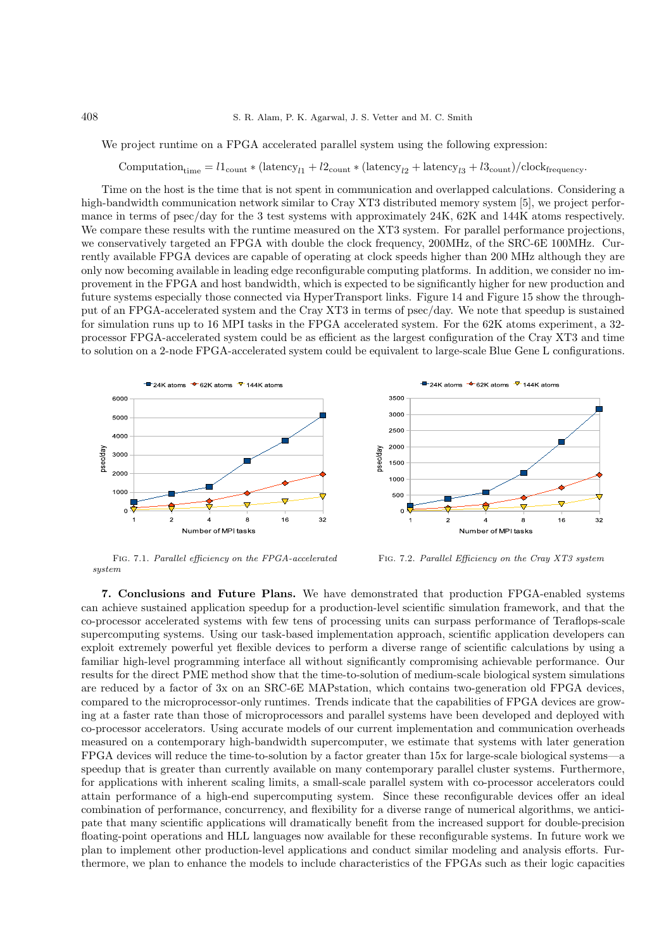We project runtime on a FPGA accelerated parallel system using the following expression:

# $\text{Computation}_{\text{time}} = l1_{\text{count}} * (\text{latency}_{l1} + l2_{\text{count}} * (\text{latency}_{l2} + \text{latency}_{l3} + l3_{\text{count}})/\text{clock}_{\text{frequency}}.$

Time on the host is the time that is not spent in communication and overlapped calculations. Considering a high-bandwidth communication network similar to Cray XT3 distributed memory system [5], we project performance in terms of psec/day for the 3 test systems with approximately 24K, 62K and 144K atoms respectively. We compare these results with the runtime measured on the XT3 system. For parallel performance projections, we conservatively targeted an FPGA with double the clock frequency, 200MHz, of the SRC-6E 100MHz. Currently available FPGA devices are capable of operating at clock speeds higher than 200 MHz although they are only now becoming available in leading edge reconfigurable computing platforms. In addition, we consider no improvement in the FPGA and host bandwidth, which is expected to be significantly higher for new production and future systems especially those connected via HyperTransport links. Figure 14 and Figure 15 show the throughput of an FPGA-accelerated system and the Cray XT3 in terms of psec/day. We note that speedup is sustained for simulation runs up to 16 MPI tasks in the FPGA accelerated system. For the 62K atoms experiment, a 32 processor FPGA-accelerated system could be as efficient as the largest configuration of the Cray XT3 and time to solution on a 2-node FPGA-accelerated system could be equivalent to large-scale Blue Gene L configurations.



Fig. 7.1. Parallel efficiency on the FPGA-accelerated system

Fig. 7.2. Parallel Efficiency on the Cray XT3 system

7. Conclusions and Future Plans. We have demonstrated that production FPGA-enabled systems can achieve sustained application speedup for a production-level scientific simulation framework, and that the co-processor accelerated systems with few tens of processing units can surpass performance of Teraflops-scale supercomputing systems. Using our task-based implementation approach, scientific application developers can exploit extremely powerful yet flexible devices to perform a diverse range of scientific calculations by using a familiar high-level programming interface all without significantly compromising achievable performance. Our results for the direct PME method show that the time-to-solution of medium-scale biological system simulations are reduced by a factor of 3x on an SRC-6E MAPstation, which contains two-generation old FPGA devices, compared to the microprocessor-only runtimes. Trends indicate that the capabilities of FPGA devices are growing at a faster rate than those of microprocessors and parallel systems have been developed and deployed with co-processor accelerators. Using accurate models of our current implementation and communication overheads measured on a contemporary high-bandwidth supercomputer, we estimate that systems with later generation FPGA devices will reduce the time-to-solution by a factor greater than 15x for large-scale biological systems—a speedup that is greater than currently available on many contemporary parallel cluster systems. Furthermore, for applications with inherent scaling limits, a small-scale parallel system with co-processor accelerators could attain performance of a high-end supercomputing system. Since these reconfigurable devices offer an ideal combination of performance, concurrency, and flexibility for a diverse range of numerical algorithms, we anticipate that many scientific applications will dramatically benefit from the increased support for double-precision floating-point operations and HLL languages now available for these reconfigurable systems. In future work we plan to implement other production-level applications and conduct similar modeling and analysis efforts. Furthermore, we plan to enhance the models to include characteristics of the FPGAs such as their logic capacities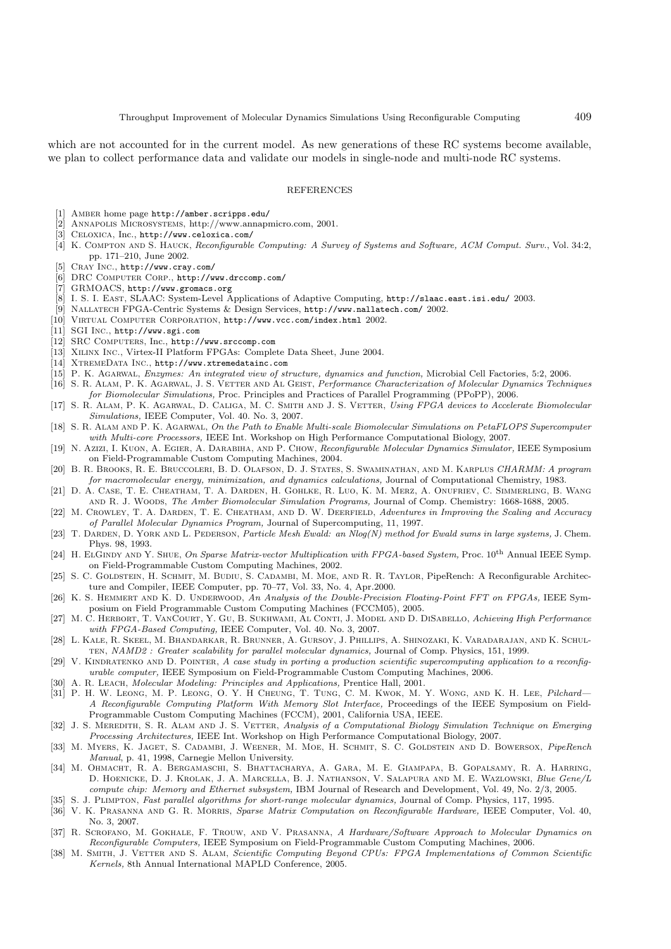which are not accounted for in the current model. As new generations of these RC systems become available, we plan to collect performance data and validate our models in single-node and multi-node RC systems.

#### **REFERENCES**

- [1] Amber home page http://amber.scripps.edu/
- [2] ANNAPOLIS MICROSYSTEMS, http://www.annapmicro.com, 2001.<br>[3] CELOXICA. Inc.. http://www.celoxica.com/
- [3] Celoxica, Inc., http://www.celoxica.com/
- [4] K. COMPTON AND S. HAUCK, Reconfigurable Computing: A Survey of Systems and Software, ACM Comput. Surv., Vol. 34:2, pp. 171–210, June 2002.
- [5] Cray Inc., http://www.cray.com/
- [6] DRC COMPUTER CORP., http://www.drccomp.com/
- [7] GRMOACS, http://www.gromacs.org
- [8] I. S. I. East, SLAAC: System-Level Applications of Adaptive Computing, http://slaac.east.isi.edu/ 2003.
- NALLATECH FPGA-Centric Systems & Design Services, http://www.nallatech.com/ 2002.
- [10] Virtual Computer Corporation, http://www.vcc.com/index.html 2002.
- [11] SGI Inc., http://www.sgi.com
- [12] SRC Computers, Inc., http://www.srccomp.com
- [13] Xilinx Inc., Virtex-II Platform FPGAs: Complete Data Sheet, June 2004.
- [14] XTREMEDATA INC., http://www.xtremedatainc.com
- [15] P. K. AGARWAL, *Enzymes: An integrated view of structure, dynamics and function*, Microbial Cell Factories, 5:2, 2006. [16] S. R. Alam, P. K. Agarwal, J. S. Vetter and Al Geist, Performance Characterization of Molecular Dynamics Techniques
- for Biomolecular Simulations, Proc. Principles and Practices of Parallel Programming (PPoPP), 2006.
- [17] S. R. ALAM, P. K. AGARWAL, D. CALIGA, M. C. SMITH AND J. S. VETTER, Using FPGA devices to Accelerate Biomolecular Simulations, IEEE Computer, Vol. 40. No. 3, 2007.
- [18] S. R. ALAM AND P. K. AGARWAL, On the Path to Enable Multi-scale Biomolecular Simulations on PetaFLOPS Supercomputer with Multi-core Processors, IEEE Int. Workshop on High Performance Computational Biology, 2007.
- [19] N. Azizi, I. Kuon, A. Egier, A. Darabiha, and P. Chow, Reconfigurable Molecular Dynamics Simulator, IEEE Symposium on Field-Programmable Custom Computing Machines, 2004.
- [20] B. R. Brooks, R. E. Bruccoleri, B. D. Olafson, D. J. States, S. Swaminathan, and M. Karplus CHARMM: A program for macromolecular energy, minimization, and dynamics calculations, Journal of Computational Chemistry, 1983.
- [21] D. A. Case, T. E. Cheatham, T. A. Darden, H. Gohlke, R. Luo, K. M. Merz, A. Onufriev, C. Simmerling, B. Wang and R. J. Woods, The Amber Biomolecular Simulation Programs, Journal of Comp. Chemistry: 1668-1688, 2005.
- [22] M. CROWLEY, T. A. DARDEN, T. E. CHEATHAM, AND D. W. DEERFIELD, Adventures in Improving the Scaling and Accuracy of Parallel Molecular Dynamics Program, Journal of Supercomputing, 11, 1997.
- [23] T. DARDEN, D. YORK AND L. PEDERSON, Particle Mesh Ewald: an Nlog(N) method for Ewald sums in large systems, J. Chem. Phys. 98, 1993.
- [24] H. ELGINDY AND Y. SHUE, On Sparse Matrix-vector Multiplication with FPGA-based System, Proc. 10<sup>th</sup> Annual IEEE Symp. on Field-Programmable Custom Computing Machines, 2002.
- [25] S. C. GOLDSTEIN, H. SCHMIT, M. BUDIU, S. CADAMBI, M. MOE, AND R. R. TAYLOR, PipeRench: A Reconfigurable Architecture and Compiler, IEEE Computer, pp. 70–77, Vol. 33, No. 4, Apr.2000.
- [26] K. S. HEMMERT AND K. D. UNDERWOOD, An Analysis of the Double-Precision Floating-Point FFT on FPGAs, IEEE Symposium on Field Programmable Custom Computing Machines (FCCM05), 2005.
- [27] M. C. HERBORT, T. VANCOURT, Y. GU, B. SUKHWAMI, AL CONTI, J. MODEL AND D. DISABELLO, Achieving High Performance with FPGA-Based Computing, IEEE Computer, Vol. 40. No. 3, 2007.
- [28] L. Kale, R. Skeel, M. Bhandarkar, R. Brunner, A. Gursoy, J. Phillips, A. Shinozaki, K. Varadarajan, and K. Schul-TEN, NAMD2 : Greater scalability for parallel molecular dynamics, Journal of Comp. Physics, 151, 1999.
- [29] V. KINDRATENKO AND D. POINTER, A case study in porting a production scientific supercomputing application to a reconfigurable computer, IEEE Symposium on Field-Programmable Custom Computing Machines, 2006.
- A. R. LEACH, Molecular Modeling: Principles and Applications, Prentice Hall, 2001.
- [31] P. H. W. Leong, M. P. Leong, O. Y. H CHEUNG, T. TUNG, C. M. KWOK, M. Y. WONG, AND K. H. LEE, Pilchard— A Reconfigurable Computing Platform With Memory Slot Interface, Proceedings of the IEEE Symposium on Field-Programmable Custom Computing Machines (FCCM), 2001, California USA, IEEE.
- [32] J. S. MEREDITH, S. R. ALAM AND J. S. VETTER, Analysis of a Computational Biology Simulation Technique on Emerging Processing Architectures, IEEE Int. Workshop on High Performance Computational Biology, 2007.
- [33] M. MYERS, K. JAGET, S. CADAMBI, J. WEENER, M. MOE, H. SCHMIT, S. C. GOLDSTEIN AND D. BOWERSOX, PipeRench Manual, p. 41, 1998, Carnegie Mellon University.
- [34] M. Ohmacht, R. A. Bergamaschi, S. Bhattacharya, A. Gara, M. E. Giampapa, B. Gopalsamy, R. A. Harring, D. HOENICKE, D. J. KROLAK, J. A. MARCELLA, B. J. NATHANSON, V. SALAPURA AND M. E. WAZLOWSKI, Blue Gene/L compute chip: Memory and Ethernet subsystem, IBM Journal of Research and Development, Vol. 49, No. 2/3, 2005.
- [35] S. J. PLIMPTON, Fast parallel algorithms for short-range molecular dynamics, Journal of Comp. Physics, 117, 1995.
- [36] V. K. Prasanna and G. R. Morris, Sparse Matrix Computation on Reconfigurable Hardware, IEEE Computer, Vol. 40, No. 3, 2007.
- [37] R. SCROFANO, M. GOKHALE, F. TROUW, AND V. PRASANNA, A Hardware/Software Approach to Molecular Dynamics on Reconfigurable Computers, IEEE Symposium on Field-Programmable Custom Computing Machines, 2006.
- [38] M. SMITH, J. VETTER AND S. ALAM, Scientific Computing Beyond CPUs: FPGA Implementations of Common Scientific Kernels, 8th Annual International MAPLD Conference, 2005.